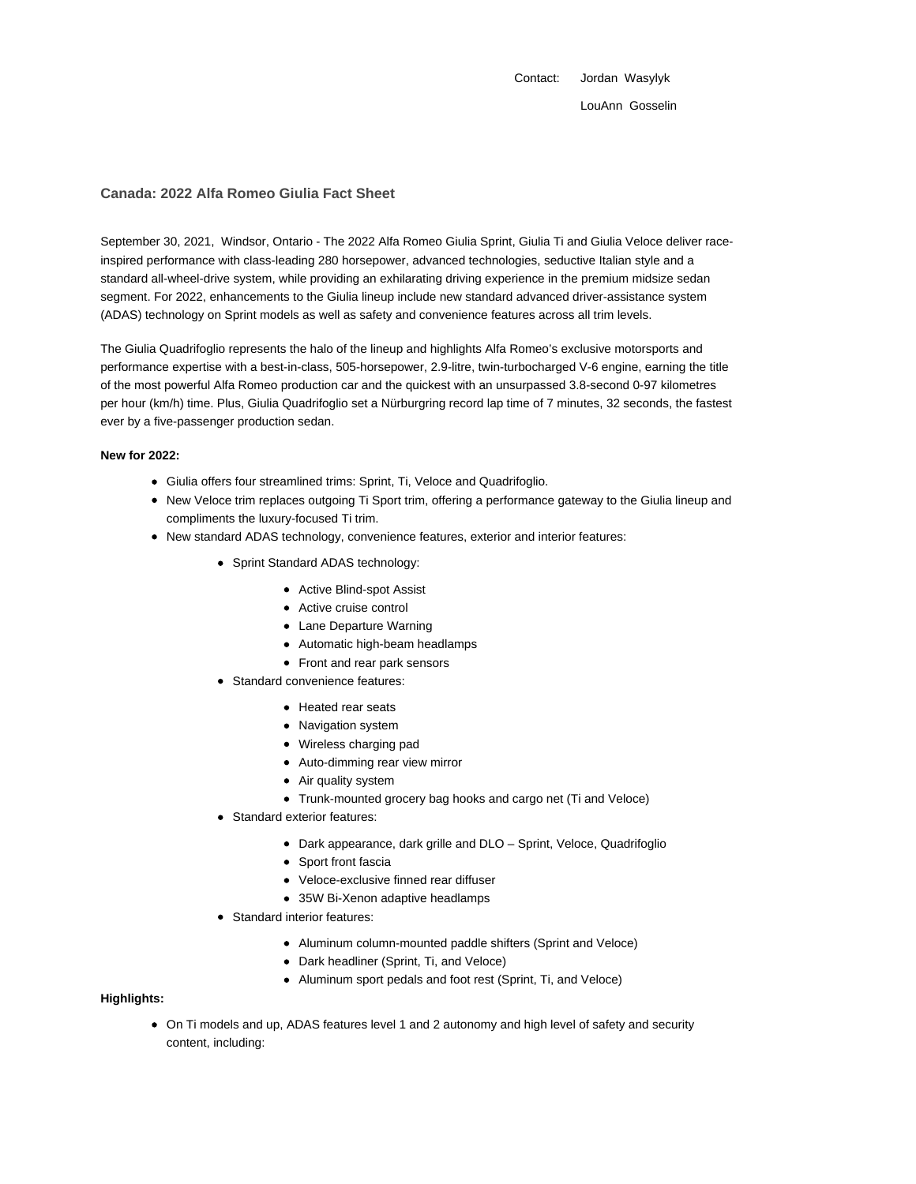Contact: Jordan Wasylyk LouAnn Gosselin

### **Canada: 2022 Alfa Romeo Giulia Fact Sheet**

September 30, 2021, Windsor, Ontario - The 2022 Alfa Romeo Giulia Sprint, Giulia Ti and Giulia Veloce deliver raceinspired performance with class-leading 280 horsepower, advanced technologies, seductive Italian style and a standard all-wheel-drive system, while providing an exhilarating driving experience in the premium midsize sedan segment. For 2022, enhancements to the Giulia lineup include new standard advanced driver-assistance system (ADAS) technology on Sprint models as well as safety and convenience features across all trim levels.

The Giulia Quadrifoglio represents the halo of the lineup and highlights Alfa Romeo's exclusive motorsports and performance expertise with a best-in-class, 505-horsepower, 2.9-litre, twin-turbocharged V-6 engine, earning the title of the most powerful Alfa Romeo production car and the quickest with an unsurpassed 3.8-second 0-97 kilometres per hour (km/h) time. Plus, Giulia Quadrifoglio set a Nürburgring record lap time of 7 minutes, 32 seconds, the fastest ever by a five-passenger production sedan.

#### **New for 2022:**

- Giulia offers four streamlined trims: Sprint, Ti, Veloce and Quadrifoglio.
- New Veloce trim replaces outgoing Ti Sport trim, offering a performance gateway to the Giulia lineup and compliments the luxury-focused Ti trim.
- New standard ADAS technology, convenience features, exterior and interior features:
	- Sprint Standard ADAS technology:
		- Active Blind-spot Assist
		- Active cruise control
		- Lane Departure Warning
		- Automatic high-beam headlamps
		- Front and rear park sensors
	- Standard convenience features:
		- Heated rear seats
		- Navigation system
		- Wireless charging pad
		- Auto-dimming rear view mirror
		- Air quality system
		- Trunk-mounted grocery bag hooks and cargo net (Ti and Veloce)
	- Standard exterior features:
		- Dark appearance, dark grille and DLO Sprint, Veloce, Quadrifoglio
		- Sport front fascia
		- Veloce-exclusive finned rear diffuser
		- 35W Bi-Xenon adaptive headlamps
	- Standard interior features:
		- Aluminum column-mounted paddle shifters (Sprint and Veloce)
		- Dark headliner (Sprint, Ti, and Veloce)
		- Aluminum sport pedals and foot rest (Sprint, Ti, and Veloce)

#### **Highlights:**

On Ti models and up, ADAS features level 1 and 2 autonomy and high level of safety and security content, including: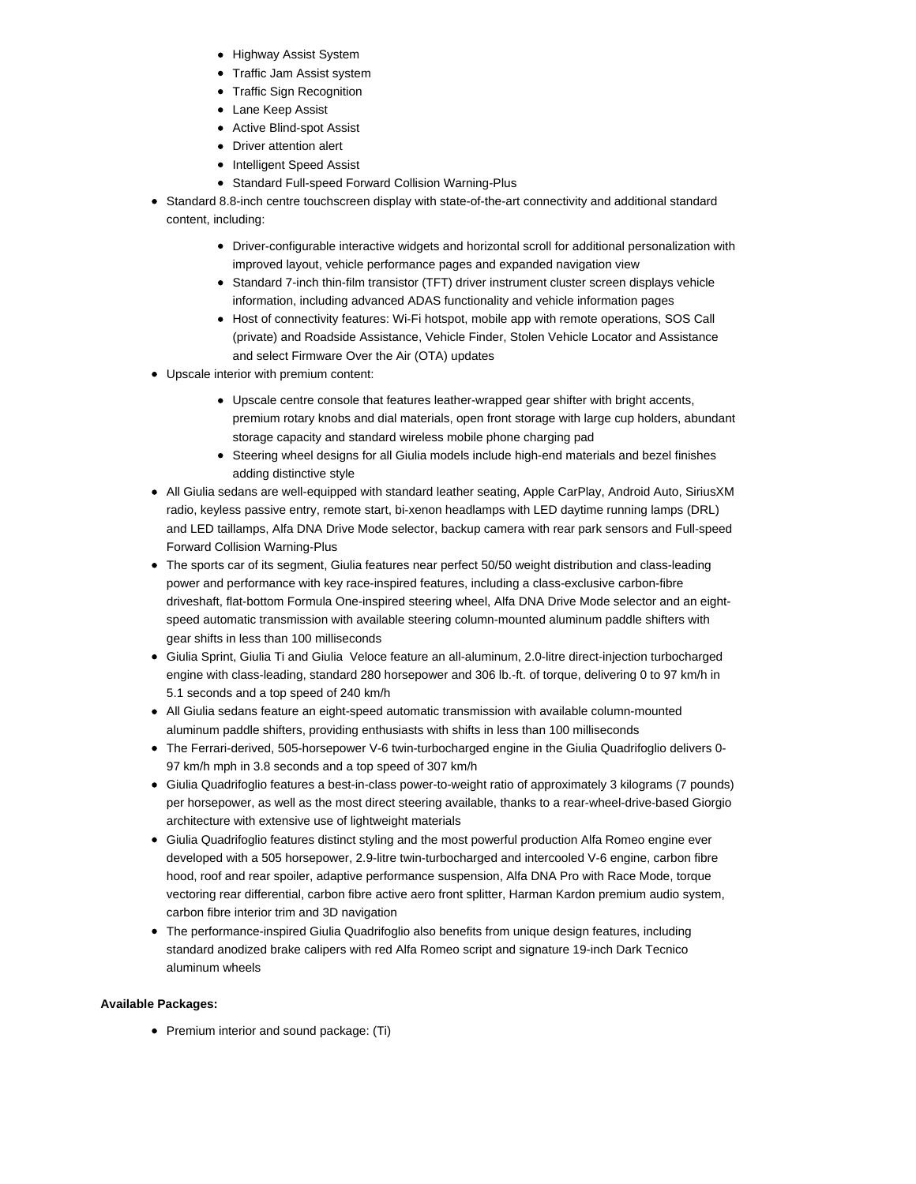- Highway Assist System
- Traffic Jam Assist system
- Traffic Sign Recognition
- Lane Keep Assist
- Active Blind-spot Assist
- Driver attention alert
- Intelligent Speed Assist
- Standard Full-speed Forward Collision Warning-Plus
- Standard 8.8-inch centre touchscreen display with state-of-the-art connectivity and additional standard content, including:
	- Driver-configurable interactive widgets and horizontal scroll for additional personalization with improved layout, vehicle performance pages and expanded navigation view
	- Standard 7-inch thin-film transistor (TFT) driver instrument cluster screen displays vehicle information, including advanced ADAS functionality and vehicle information pages
	- Host of connectivity features: Wi-Fi hotspot, mobile app with remote operations, SOS Call (private) and Roadside Assistance, Vehicle Finder, Stolen Vehicle Locator and Assistance and select Firmware Over the Air (OTA) updates
- Upscale interior with premium content:
	- Upscale centre console that features leather-wrapped gear shifter with bright accents, premium rotary knobs and dial materials, open front storage with large cup holders, abundant storage capacity and standard wireless mobile phone charging pad
	- Steering wheel designs for all Giulia models include high-end materials and bezel finishes adding distinctive style
- All Giulia sedans are well-equipped with standard leather seating, Apple CarPlay, Android Auto, SiriusXM radio, keyless passive entry, remote start, bi-xenon headlamps with LED daytime running lamps (DRL) and LED taillamps, Alfa DNA Drive Mode selector, backup camera with rear park sensors and Full-speed Forward Collision Warning-Plus
- The sports car of its segment, Giulia features near perfect 50/50 weight distribution and class-leading power and performance with key race-inspired features, including a class-exclusive carbon-fibre driveshaft, flat-bottom Formula One-inspired steering wheel, Alfa DNA Drive Mode selector and an eightspeed automatic transmission with available steering column-mounted aluminum paddle shifters with gear shifts in less than 100 milliseconds
- Giulia Sprint, Giulia Ti and Giulia Veloce feature an all-aluminum, 2.0-litre direct-injection turbocharged engine with class-leading, standard 280 horsepower and 306 lb.-ft. of torque, delivering 0 to 97 km/h in 5.1 seconds and a top speed of 240 km/h
- All Giulia sedans feature an eight-speed automatic transmission with available column-mounted aluminum paddle shifters, providing enthusiasts with shifts in less than 100 milliseconds
- The Ferrari-derived, 505-horsepower V-6 twin-turbocharged engine in the Giulia Quadrifoglio delivers 0- 97 km/h mph in 3.8 seconds and a top speed of 307 km/h
- Giulia Quadrifoglio features a best-in-class power-to-weight ratio of approximately 3 kilograms (7 pounds) per horsepower, as well as the most direct steering available, thanks to a rear-wheel-drive-based Giorgio architecture with extensive use of lightweight materials
- Giulia Quadrifoglio features distinct styling and the most powerful production Alfa Romeo engine ever developed with a 505 horsepower, 2.9-litre twin-turbocharged and intercooled V-6 engine, carbon fibre hood, roof and rear spoiler, adaptive performance suspension, Alfa DNA Pro with Race Mode, torque vectoring rear differential, carbon fibre active aero front splitter, Harman Kardon premium audio system, carbon fibre interior trim and 3D navigation
- The performance-inspired Giulia Quadrifoglio also benefits from unique design features, including standard anodized brake calipers with red Alfa Romeo script and signature 19-inch Dark Tecnico aluminum wheels

## **Available Packages:**

• Premium interior and sound package: (Ti)